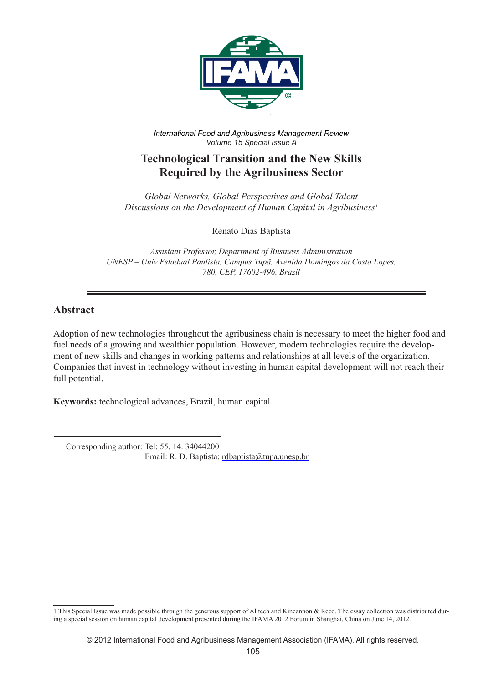

*International Food and Agribusiness Management Review Volume 15 Special Issue A*

# **Technological Transition and the New Skills Required by the Agribusiness Sector**

*Global Networks, Global Perspectives and Global Talent Discussions on the Development of Human Capital in Agribusiness1*

Renato Dias Baptista

*Assistant Professor, Department of Business Administration UNESP – Univ Estadual Paulista, Campus Tupã, Avenida Domingos da Costa Lopes, 780, CEP, 17602-496, Brazil*

#### **Abstract**

Adoption of new technologies throughout the agribusiness chain is necessary to meet the higher food and fuel needs of a growing and wealthier population. However, modern technologies require the development of new skills and changes in working patterns and relationships at all levels of the organization. Companies that invest in technology without investing in human capital development will not reach their full potential.

**Keywords:** technological advances, Brazil, human capital

 Corresponding author: Tel: 55. 14. 34044200 Email: R. D. Baptista: rdbaptista@tupa.unesp.br

<sup>1</sup> This Special Issue was made possible through the generous support of Alltech and Kincannon & Reed. The essay collection was distributed during a special session on human capital development presented during the IFAMA 2012 Forum in Shanghai, China on June 14, 2012.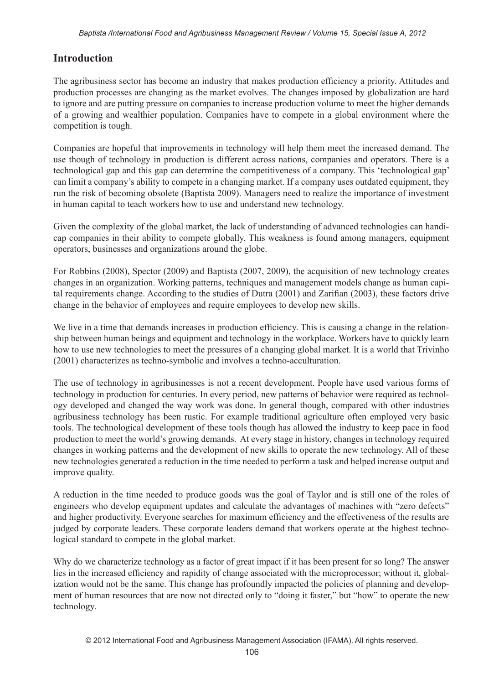## **Introduction**

The agribusiness sector has become an industry that makes production efficiency a priority. Attitudes and production processes are changing as the market evolves. The changes imposed by globalization are hard to ignore and are putting pressure on companies to increase production volume to meet the higher demands of a growing and wealthier population. Companies have to compete in a global environment where the competition is tough.

Companies are hopeful that improvements in technology will help them meet the increased demand. The use though of technology in production is different across nations, companies and operators. There is a technological gap and this gap can determine the competitiveness of a company. This 'technological gap' can limit a company's ability to compete in a changing market. If a company uses outdated equipment, they run the risk of becoming obsolete (Baptista 2009). Managers need to realize the importance of investment in human capital to teach workers how to use and understand new technology.

Given the complexity of the global market, the lack of understanding of advanced technologies can handicap companies in their ability to compete globally. This weakness is found among managers, equipment operators, businesses and organizations around the globe.

For Robbins (2008), Spector (2009) and Baptista (2007, 2009), the acquisition of new technology creates changes in an organization. Working patterns, techniques and management models change as human capital requirements change. According to the studies of Dutra (2001) and Zarifian (2003), these factors drive change in the behavior of employees and require employees to develop new skills.

We live in a time that demands increases in production efficiency. This is causing a change in the relationship between human beings and equipment and technology in the workplace. Workers have to quickly learn how to use new technologies to meet the pressures of a changing global market. It is a world that Trivinho (2001) characterizes as techno-symbolic and involves a techno-acculturation.

The use of technology in agribusinesses is not a recent development. People have used various forms of technology in production for centuries. In every period, new patterns of behavior were required as technology developed and changed the way work was done. In general though, compared with other industries agribusiness technology has been rustic. For example traditional agriculture often employed very basic tools. The technological development of these tools though has allowed the industry to keep pace in food production to meet the world's growing demands. At every stage in history, changes in technology required changes in working patterns and the development of new skills to operate the new technology. All of these new technologies generated a reduction in the time needed to perform a task and helped increase output and improve quality.

A reduction in the time needed to produce goods was the goal of Taylor and is still one of the roles of engineers who develop equipment updates and calculate the advantages of machines with "zero defects" and higher productivity. Everyone searches for maximum efficiency and the effectiveness of the results are judged by corporate leaders. These corporate leaders demand that workers operate at the highest technological standard to compete in the global market.

Why do we characterize technology as a factor of great impact if it has been present for so long? The answer lies in the increased efficiency and rapidity of change associated with the microprocessor; without it, globalization would not be the same. This change has profoundly impacted the policies of planning and development of human resources that are now not directed only to "doing it faster," but "how" to operate the new technology.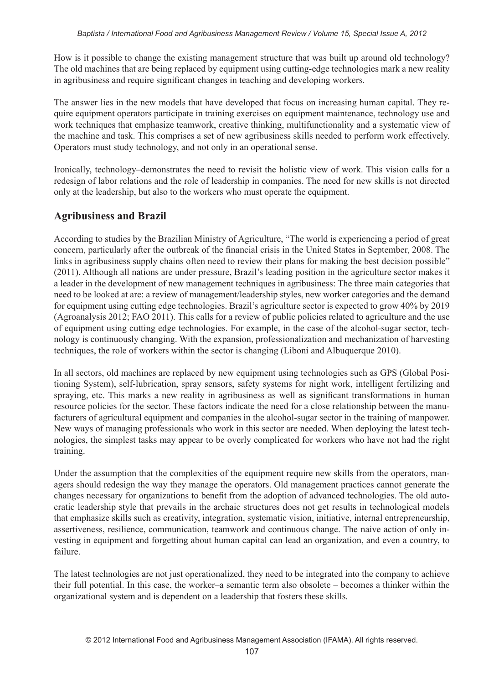How is it possible to change the existing management structure that was built up around old technology? The old machines that are being replaced by equipment using cutting-edge technologies mark a new reality in agribusiness and require significant changes in teaching and developing workers.

The answer lies in the new models that have developed that focus on increasing human capital. They require equipment operators participate in training exercises on equipment maintenance, technology use and work techniques that emphasize teamwork, creative thinking, multifunctionality and a systematic view of the machine and task. This comprises a set of new agribusiness skills needed to perform work effectively. Operators must study technology, and not only in an operational sense.

Ironically, technology–demonstrates the need to revisit the holistic view of work. This vision calls for a redesign of labor relations and the role of leadership in companies. The need for new skills is not directed only at the leadership, but also to the workers who must operate the equipment.

### **Agribusiness and Brazil**

According to studies by the Brazilian Ministry of Agriculture, "The world is experiencing a period of great concern, particularly after the outbreak of the financial crisis in the United States in September, 2008. The links in agribusiness supply chains often need to review their plans for making the best decision possible" (2011). Although all nations are under pressure, Brazil's leading position in the agriculture sector makes it a leader in the development of new management techniques in agribusiness: The three main categories that need to be looked at are: a review of management/leadership styles, new worker categories and the demand for equipment using cutting edge technologies. Brazil's agriculture sector is expected to grow 40% by 2019 (Agroanalysis 2012; FAO 2011). This calls for a review of public policies related to agriculture and the use of equipment using cutting edge technologies. For example, in the case of the alcohol-sugar sector, technology is continuously changing. With the expansion, professionalization and mechanization of harvesting techniques, the role of workers within the sector is changing (Liboni and Albuquerque 2010).

In all sectors, old machines are replaced by new equipment using technologies such as GPS (Global Positioning System), self-lubrication, spray sensors, safety systems for night work, intelligent fertilizing and spraying, etc. This marks a new reality in agribusiness as well as significant transformations in human resource policies for the sector. These factors indicate the need for a close relationship between the manufacturers of agricultural equipment and companies in the alcohol-sugar sector in the training of manpower. New ways of managing professionals who work in this sector are needed. When deploying the latest technologies, the simplest tasks may appear to be overly complicated for workers who have not had the right training.

Under the assumption that the complexities of the equipment require new skills from the operators, managers should redesign the way they manage the operators. Old management practices cannot generate the changes necessary for organizations to benefit from the adoption of advanced technologies. The old autocratic leadership style that prevails in the archaic structures does not get results in technological models that emphasize skills such as creativity, integration, systematic vision, initiative, internal entrepreneurship, assertiveness, resilience, communication, teamwork and continuous change. The naive action of only investing in equipment and forgetting about human capital can lead an organization, and even a country, to failure.

The latest technologies are not just operationalized, they need to be integrated into the company to achieve their full potential. In this case, the worker–a semantic term also obsolete – becomes a thinker within the organizational system and is dependent on a leadership that fosters these skills.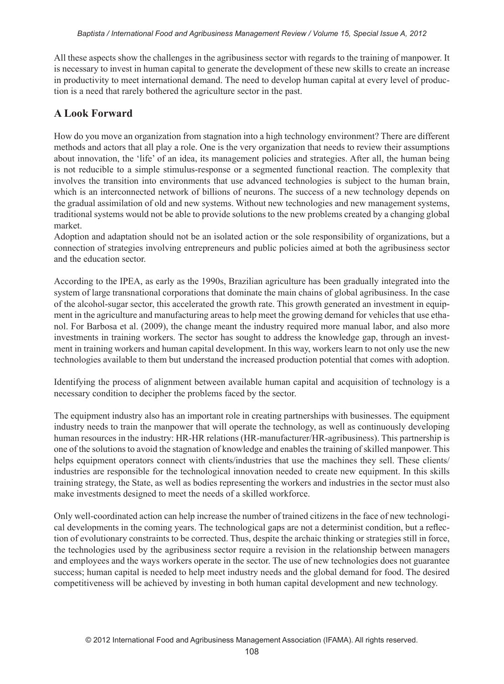All these aspects show the challenges in the agribusiness sector with regards to the training of manpower. It is necessary to invest in human capital to generate the development of these new skills to create an increase in productivity to meet international demand. The need to develop human capital at every level of production is a need that rarely bothered the agriculture sector in the past.

### **A Look Forward**

How do you move an organization from stagnation into a high technology environment? There are different methods and actors that all play a role. One is the very organization that needs to review their assumptions about innovation, the 'life' of an idea, its management policies and strategies. After all, the human being is not reducible to a simple stimulus-response or a segmented functional reaction. The complexity that involves the transition into environments that use advanced technologies is subject to the human brain, which is an interconnected network of billions of neurons. The success of a new technology depends on the gradual assimilation of old and new systems. Without new technologies and new management systems, traditional systems would not be able to provide solutions to the new problems created by a changing global market.

Adoption and adaptation should not be an isolated action or the sole responsibility of organizations, but a connection of strategies involving entrepreneurs and public policies aimed at both the agribusiness sector and the education sector.

According to the IPEA, as early as the 1990s, Brazilian agriculture has been gradually integrated into the system of large transnational corporations that dominate the main chains of global agribusiness. In the case of the alcohol-sugar sector, this accelerated the growth rate. This growth generated an investment in equipment in the agriculture and manufacturing areas to help meet the growing demand for vehicles that use ethanol. For Barbosa et al. (2009), the change meant the industry required more manual labor, and also more investments in training workers. The sector has sought to address the knowledge gap, through an investment in training workers and human capital development. In this way, workers learn to not only use the new technologies available to them but understand the increased production potential that comes with adoption.

Identifying the process of alignment between available human capital and acquisition of technology is a necessary condition to decipher the problems faced by the sector.

The equipment industry also has an important role in creating partnerships with businesses. The equipment industry needs to train the manpower that will operate the technology, as well as continuously developing human resources in the industry: HR-HR relations (HR-manufacturer/HR-agribusiness). This partnership is one of the solutions to avoid the stagnation of knowledge and enables the training of skilled manpower. This helps equipment operators connect with clients/industries that use the machines they sell. These clients/ industries are responsible for the technological innovation needed to create new equipment. In this skills training strategy, the State, as well as bodies representing the workers and industries in the sector must also make investments designed to meet the needs of a skilled workforce.

Only well-coordinated action can help increase the number of trained citizens in the face of new technological developments in the coming years. The technological gaps are not a determinist condition, but a reflection of evolutionary constraints to be corrected. Thus, despite the archaic thinking or strategies still in force, the technologies used by the agribusiness sector require a revision in the relationship between managers and employees and the ways workers operate in the sector. The use of new technologies does not guarantee success; human capital is needed to help meet industry needs and the global demand for food. The desired competitiveness will be achieved by investing in both human capital development and new technology.